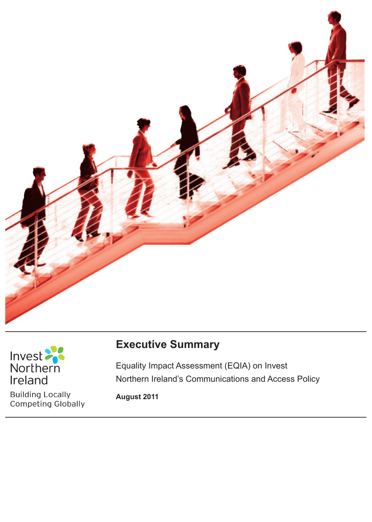



**Building Locally Competing Globally** 

# **Executive Summary**

Section 75 of the Northern Ireland Act 1998

Equality Impact Assessment (EQIA) on Invest Northern Ireland's Communications and Access Policy

**August 2011**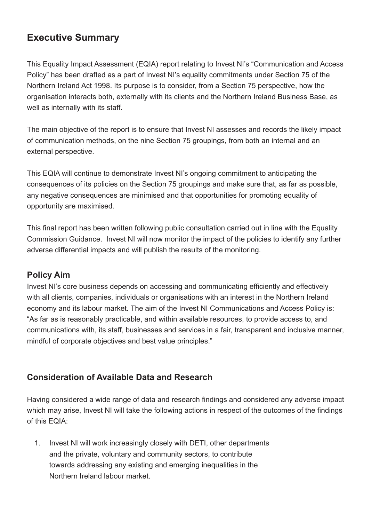## **Executive Summary**

This Equality Impact Assessment (EQIA) report relating to Invest NI's "Communication and Access Policy" has been drafted as a part of Invest NI's equality commitments under Section 75 of the Northern Ireland Act 1998. Its purpose is to consider, from a Section 75 perspective, how the organisation interacts both, externally with its clients and the Northern Ireland Business Base, as well as internally with its staff.

The main objective of the report is to ensure that Invest NI assesses and records the likely impact of communication methods, on the nine Section 75 groupings, from both an internal and an external perspective.

This EQIA will continue to demonstrate Invest NI's ongoing commitment to anticipating the consequences of its policies on the Section 75 groupings and make sure that, as far as possible, any negative consequences are minimised and that opportunities for promoting equality of opportunity are maximised.

This final report has been written following public consultation carried out in line with the Equality Commission Guidance. Invest NI will now monitor the impact of the policies to identify any further adverse differential impacts and will publish the results of the monitoring.

### **Policy Aim**

Invest NI's core business depends on accessing and communicating efficiently and effectively with all clients, companies, individuals or organisations with an interest in the Northern Ireland economy and its labour market. The aim of the Invest NI Communications and Access Policy is: "As far as is reasonably practicable, and within available resources, to provide access to, and communications with, its staff, businesses and services in a fair, transparent and inclusive manner, mindful of corporate objectives and best value principles."

### **Consideration of Available Data and Research**

Having considered a wide range of data and research findings and considered any adverse impact which may arise, Invest NI will take the following actions in respect of the outcomes of the findings of this EQIA:

1. Invest NI will work increasingly closely with DETI, other departments and the private, voluntary and community sectors, to contribute towards addressing any existing and emerging inequalities in the Northern Ireland labour market.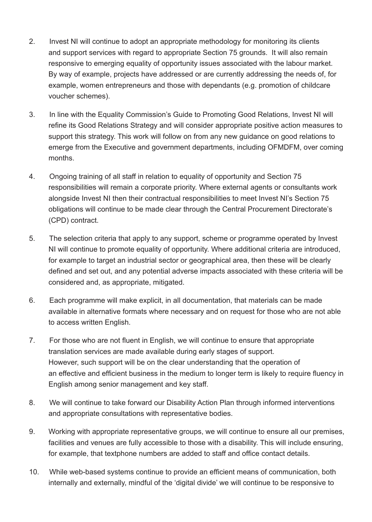- 2. Invest NI will continue to adopt an appropriate methodology for monitoring its clients and support services with regard to appropriate Section 75 grounds. It will also remain responsive to emerging equality of opportunity issues associated with the labour market. By way of example, projects have addressed or are currently addressing the needs of, for example, women entrepreneurs and those with dependants (e.g. promotion of childcare voucher schemes).
- 3. In line with the Equality Commission's Guide to Promoting Good Relations, Invest NI will refine its Good Relations Strategy and will consider appropriate positive action measures to support this strategy. This work will follow on from any new guidance on good relations to emerge from the Executive and government departments, including OFMDFM, over coming months.
- 4. Ongoing training of all staff in relation to equality of opportunity and Section 75 responsibilities will remain a corporate priority. Where external agents or consultants work alongside Invest NI then their contractual responsibilities to meet Invest NI's Section 75 obligations will continue to be made clear through the Central Procurement Directorate's (CPD) contract.
- 5. The selection criteria that apply to any support, scheme or programme operated by Invest NI will continue to promote equality of opportunity. Where additional criteria are introduced, for example to target an industrial sector or geographical area, then these will be clearly defined and set out, and any potential adverse impacts associated with these criteria will be considered and, as appropriate, mitigated.
- 6. Each programme will make explicit, in all documentation, that materials can be made available in alternative formats where necessary and on request for those who are not able to access written English.
- 7. For those who are not fluent in English, we will continue to ensure that appropriate translation services are made available during early stages of support. However, such support will be on the clear understanding that the operation of an effective and efficient business in the medium to longer term is likely to require fluency in English among senior management and key staff.
- 8. We will continue to take forward our Disability Action Plan through informed interventions and appropriate consultations with representative bodies.
- 9. Working with appropriate representative groups, we will continue to ensure all our premises, facilities and venues are fully accessible to those with a disability. This will include ensuring, for example, that textphone numbers are added to staff and office contact details.
- 10. While web-based systems continue to provide an efficient means of communication, both internally and externally, mindful of the 'digital divide' we will continue to be responsive to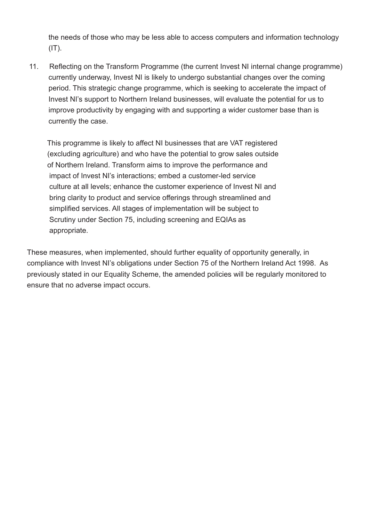the needs of those who may be less able to access computers and information technology  $(IT)$ .

11. Reflecting on the Transform Programme (the current Invest NI internal change programme) currently underway, Invest NI is likely to undergo substantial changes over the coming period. This strategic change programme, which is seeking to accelerate the impact of Invest NI's support to Northern Ireland businesses, will evaluate the potential for us to improve productivity by engaging with and supporting a wider customer base than is currently the case.

 This programme is likely to affect NI businesses that are VAT registered (excluding agriculture) and who have the potential to grow sales outside of Northern Ireland. Transform aims to improve the performance and impact of Invest NI's interactions; embed a customer-led service culture at all levels; enhance the customer experience of Invest NI and bring clarity to product and service offerings through streamlined and simplified services. All stages of implementation will be subject to Scrutiny under Section 75, including screening and EQIAs as appropriate.

These measures, when implemented, should further equality of opportunity generally, in compliance with Invest NI's obligations under Section 75 of the Northern Ireland Act 1998. As previously stated in our Equality Scheme, the amended policies will be regularly monitored to ensure that no adverse impact occurs.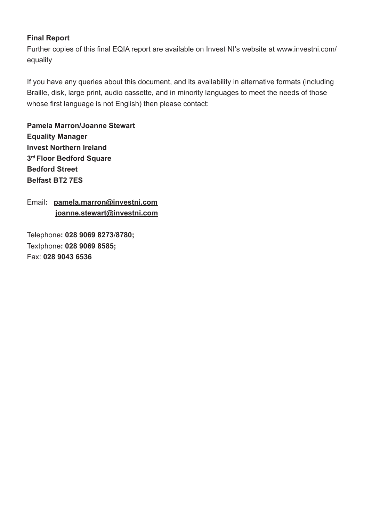#### **Final Report**

Further copies of this final EQIA report are available on Invest NI's website at www.investni.com/ equality

If you have any queries about this document, and its availability in alternative formats (including Braille, disk, large print, audio cassette, and in minority languages to meet the needs of those whose first language is not English) then please contact:

**Pamela Marron/Joanne Stewart Equality Manager Invest Northern Ireland 3rd Floor Bedford Square Bedford Street Belfast BT2 7ES**

Email**: pamela.marron@investni.com joanne.stewart@investni.com**

Telephone**: 028 9069 8273**/**8780;** Textphone**: 028 9069 8585;**  Fax: **028 9043 6536**